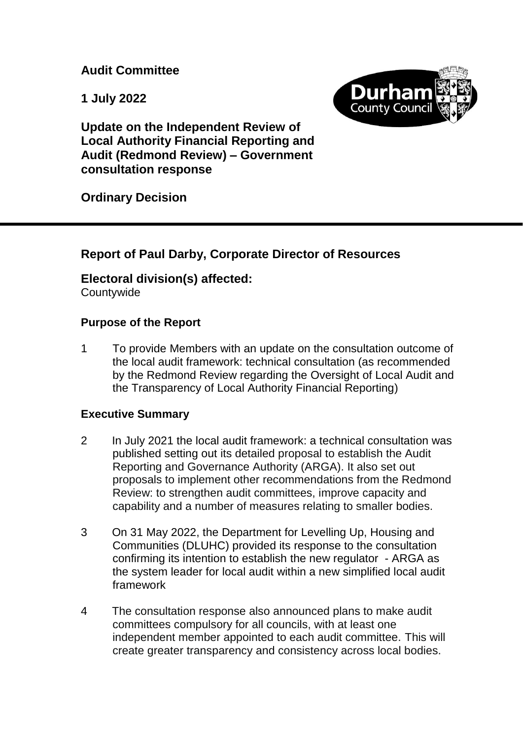**Audit Committee**

**1 July 2022**



**Update on the Independent Review of Local Authority Financial Reporting and Audit (Redmond Review) – Government consultation response** 

**Ordinary Decision**

# **Report of Paul Darby, Corporate Director of Resources**

## **Electoral division(s) affected:**

**Countywide** 

## **Purpose of the Report**

1 To provide Members with an update on the consultation outcome of the local audit framework: technical consultation (as recommended by the Redmond Review regarding the Oversight of Local Audit and the Transparency of Local Authority Financial Reporting)

## **Executive Summary**

- 2 In July 2021 the local audit framework: a technical consultation was published setting out its detailed proposal to establish the Audit Reporting and Governance Authority (ARGA). It also set out proposals to implement other recommendations from the Redmond Review: to strengthen audit committees, improve capacity and capability and a number of measures relating to smaller bodies.
- 3 On 31 May 2022, the Department for Levelling Up, Housing and Communities (DLUHC) provided its response to the consultation confirming its intention to establish the new regulator - ARGA as the system leader for local audit within a new simplified local audit framework
- 4 The consultation response also announced plans to make audit committees compulsory for all councils, with at least one independent member appointed to each audit committee. This will create greater transparency and consistency across local bodies.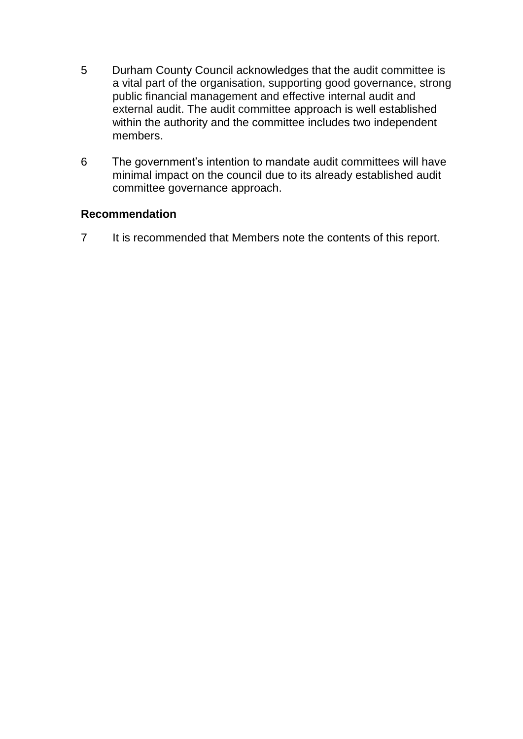- 5 Durham County Council acknowledges that the audit committee is a vital part of the organisation, supporting good governance, strong public financial management and effective internal audit and external audit. The audit committee approach is well established within the authority and the committee includes two independent members.
- 6 The government's intention to mandate audit committees will have minimal impact on the council due to its already established audit committee governance approach.

## **Recommendation**

7 It is recommended that Members note the contents of this report.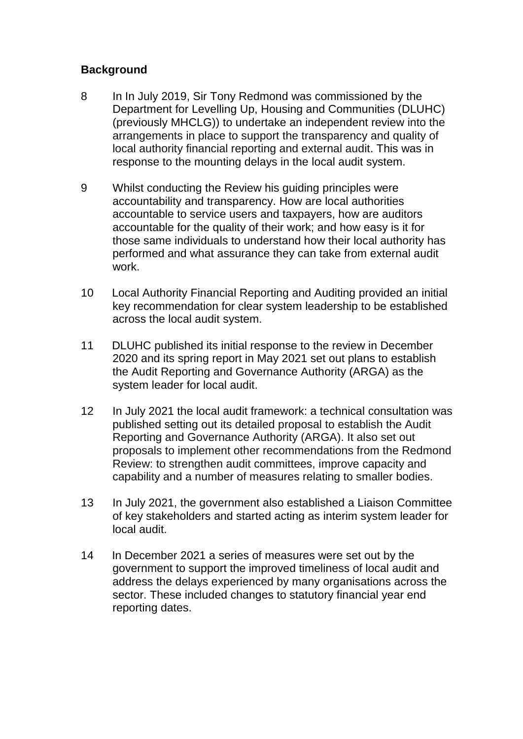## **Background**

- 8 In In July 2019, Sir Tony Redmond was commissioned by the Department for Levelling Up, Housing and Communities (DLUHC) (previously MHCLG)) to undertake an independent review into the arrangements in place to support the transparency and quality of local authority financial reporting and external audit. This was in response to the mounting delays in the local audit system.
- 9 Whilst conducting the Review his guiding principles were accountability and transparency. How are local authorities accountable to service users and taxpayers, how are auditors accountable for the quality of their work; and how easy is it for those same individuals to understand how their local authority has performed and what assurance they can take from external audit work.
- 10 Local Authority Financial Reporting and Auditing provided an initial key recommendation for clear system leadership to be established across the local audit system.
- 11 DLUHC published its initial response to the review in December 2020 and its spring report in May 2021 set out plans to establish the Audit Reporting and Governance Authority (ARGA) as the system leader for local audit.
- 12 In July 2021 the local audit framework: a technical consultation was published setting out its detailed proposal to establish the Audit Reporting and Governance Authority (ARGA). It also set out proposals to implement other recommendations from the Redmond Review: to strengthen audit committees, improve capacity and capability and a number of measures relating to smaller bodies.
- 13 In July 2021, the government also established a Liaison Committee of key stakeholders and started acting as interim system leader for local audit.
- 14 In December 2021 a series of measures were set out by the government to support the improved timeliness of local audit and address the delays experienced by many organisations across the sector. These included changes to statutory financial year end reporting dates.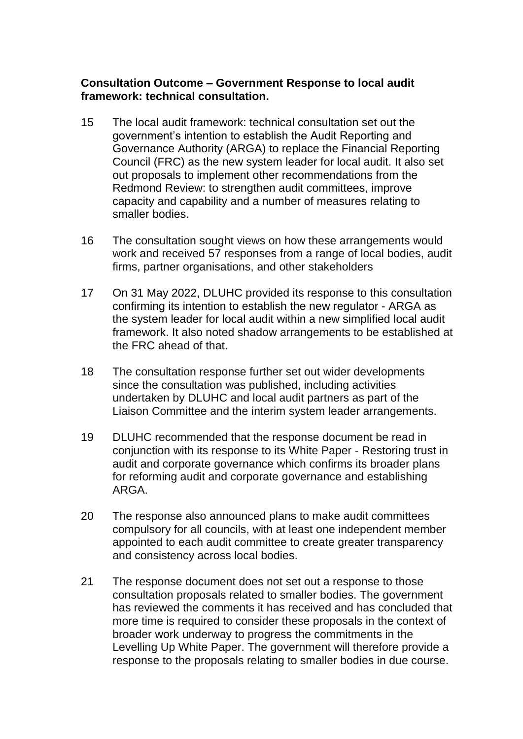#### **Consultation Outcome – Government Response to local audit framework: technical consultation.**

- 15 The local audit framework: technical consultation set out the government's intention to establish the Audit Reporting and Governance Authority (ARGA) to replace the Financial Reporting Council (FRC) as the new system leader for local audit. It also set out proposals to implement other recommendations from the Redmond Review: to strengthen audit committees, improve capacity and capability and a number of measures relating to smaller bodies.
- 16 The consultation sought views on how these arrangements would work and received 57 responses from a range of local bodies, audit firms, partner organisations, and other stakeholders
- 17 On 31 May 2022, DLUHC provided its response to this consultation confirming its intention to establish the new regulator - ARGA as the system leader for local audit within a new simplified local audit framework. It also noted shadow arrangements to be established at the FRC ahead of that.
- 18 The consultation response further set out wider developments since the consultation was published, including activities undertaken by DLUHC and local audit partners as part of the Liaison Committee and the interim system leader arrangements.
- 19 DLUHC recommended that the response document be read in conjunction with its response to its White Paper - Restoring trust in audit and corporate governance which confirms its broader plans for reforming audit and corporate governance and establishing ARGA.
- 20 The response also announced plans to make audit committees compulsory for all councils, with at least one independent member appointed to each audit committee to create greater transparency and consistency across local bodies.
- 21 The response document does not set out a response to those consultation proposals related to smaller bodies. The government has reviewed the comments it has received and has concluded that more time is required to consider these proposals in the context of broader work underway to progress the commitments in the Levelling Up White Paper. The government will therefore provide a response to the proposals relating to smaller bodies in due course.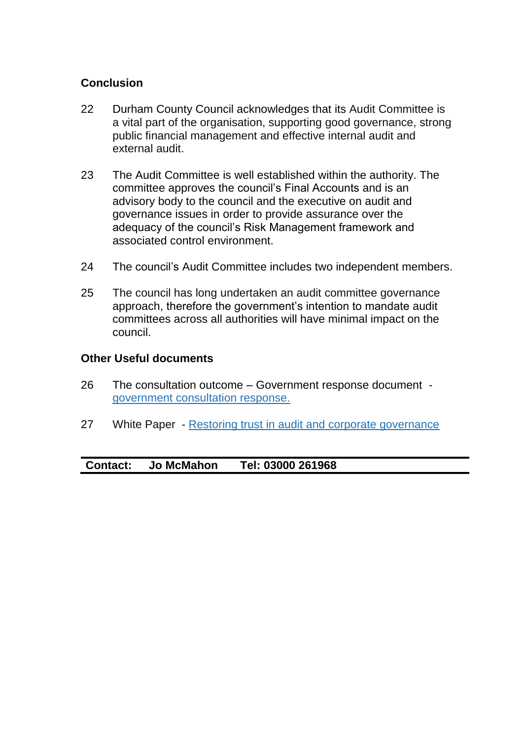## **Conclusion**

- 22 Durham County Council acknowledges that its Audit Committee is a vital part of the organisation, supporting good governance, strong public financial management and effective internal audit and external audit.
- 23 The Audit Committee is well established within the authority. The committee approves the council's Final Accounts and is an advisory body to the council and the executive on audit and governance issues in order to provide assurance over the adequacy of the council's Risk Management framework and associated control environment.
- 24 The council's Audit Committee includes two independent members.
- 25 The council has long undertaken an audit committee governance approach, therefore the government's intention to mandate audit committees across all authorities will have minimal impact on the council.

#### **Other Useful documents**

- 26 The consultation outcome Government response document [government consultation response.](https://www.gov.uk/government/consultations/local-audit-framework-technical-consultation)
- 27 White Paper [Restoring trust in audit and corporate governance](https://www.gov.uk/government/consultations/restoring-trust-in-audit-and-corporate-governance-proposals-on-reforms)

#### **Contact: Jo McMahon Tel: 03000 261968**